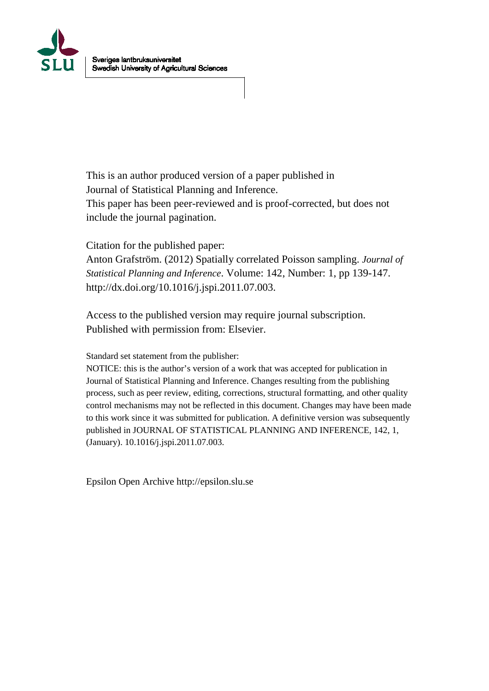

This is an author produced version of a paper published in Journal of Statistical Planning and Inference. This paper has been peer-reviewed and is proof-corrected, but does not include the journal pagination.

Citation for the published paper:

Anton Grafström. (2012) Spatially correlated Poisson sampling. *Journal of Statistical Planning and Inference*. Volume: 142, Number: 1, pp 139-147. http://dx.doi.org/10.1016/j.jspi.2011.07.003.

Access to the published version may require journal subscription. Published with permission from: Elsevier.

Standard set statement from the publisher:

NOTICE: this is the author's version of a work that was accepted for publication in Journal of Statistical Planning and Inference. Changes resulting from the publishing process, such as peer review, editing, corrections, structural formatting, and other quality control mechanisms may not be reflected in this document. Changes may have been made to this work since it was submitted for publication. A definitive version was subsequently published in JOURNAL OF STATISTICAL PLANNING AND INFERENCE, 142, 1, (January). 10.1016/j.jspi.2011.07.003.

Epsilon Open Archive http://epsilon.slu.se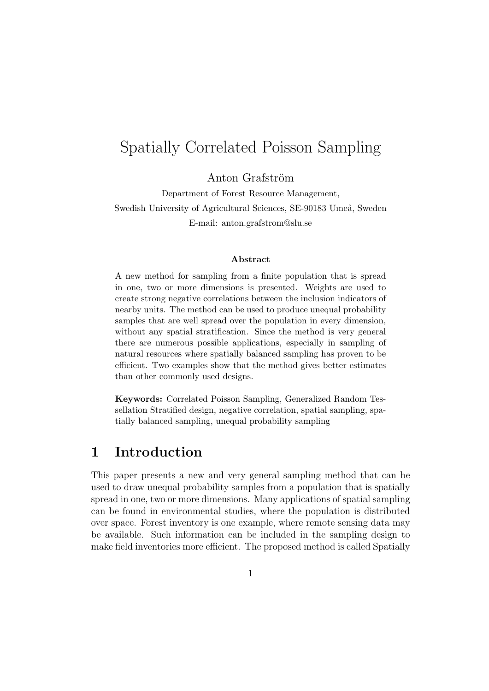# Spatially Correlated Poisson Sampling

Anton Grafström

Department of Forest Resource Management, Swedish University of Agricultural Sciences, SE-90183 Umeå, Sweden E-mail: anton.grafstrom@slu.se

#### **Abstract**

A new method for sampling from a finite population that is spread in one, two or more dimensions is presented. Weights are used to create strong negative correlations between the inclusion indicators of nearby units. The method can be used to produce unequal probability samples that are well spread over the population in every dimension, without any spatial stratification. Since the method is very general there are numerous possible applications, especially in sampling of natural resources where spatially balanced sampling has proven to be efficient. Two examples show that the method gives better estimates than other commonly used designs.

**Keywords:** Correlated Poisson Sampling, Generalized Random Tessellation Stratified design, negative correlation, spatial sampling, spatially balanced sampling, unequal probability sampling

### **1 Introduction**

This paper presents a new and very general sampling method that can be used to draw unequal probability samples from a population that is spatially spread in one, two or more dimensions. Many applications of spatial sampling can be found in environmental studies, where the population is distributed over space. Forest inventory is one example, where remote sensing data may be available. Such information can be included in the sampling design to make field inventories more efficient. The proposed method is called Spatially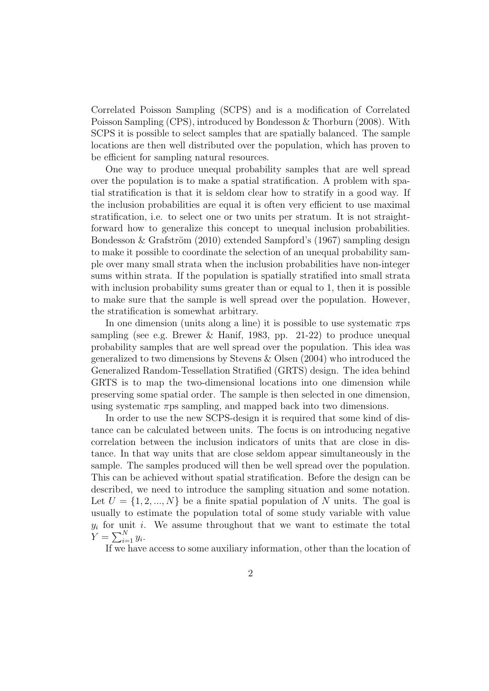Correlated Poisson Sampling (SCPS) and is a modification of Correlated Poisson Sampling (CPS), introduced by Bondesson & Thorburn (2008). With SCPS it is possible to select samples that are spatially balanced. The sample locations are then well distributed over the population, which has proven to be efficient for sampling natural resources.

One way to produce unequal probability samples that are well spread over the population is to make a spatial stratification. A problem with spatial stratification is that it is seldom clear how to stratify in a good way. If the inclusion probabilities are equal it is often very efficient to use maximal stratification, i.e. to select one or two units per stratum. It is not straightforward how to generalize this concept to unequal inclusion probabilities. Bondesson & Grafström  $(2010)$  extended Sampford's  $(1967)$  sampling design to make it possible to coordinate the selection of an unequal probability sample over many small strata when the inclusion probabilities have non-integer sums within strata. If the population is spatially stratified into small strata with inclusion probability sums greater than or equal to 1, then it is possible to make sure that the sample is well spread over the population. However, the stratification is somewhat arbitrary.

In one dimension (units along a line) it is possible to use systematic *π*ps sampling (see e.g. Brewer & Hanif, 1983, pp. 21-22) to produce unequal probability samples that are well spread over the population. This idea was generalized to two dimensions by Stevens & Olsen (2004) who introduced the Generalized Random-Tessellation Stratified (GRTS) design. The idea behind GRTS is to map the two-dimensional locations into one dimension while preserving some spatial order. The sample is then selected in one dimension, using systematic  $\pi$ ps sampling, and mapped back into two dimensions.

In order to use the new SCPS-design it is required that some kind of distance can be calculated between units. The focus is on introducing negative correlation between the inclusion indicators of units that are close in distance. In that way units that are close seldom appear simultaneously in the sample. The samples produced will then be well spread over the population. This can be achieved without spatial stratification. Before the design can be described, we need to introduce the sampling situation and some notation. Let  $U = \{1, 2, ..., N\}$  be a finite spatial population of N units. The goal is usually to estimate the population total of some study variable with value *yi* for unit *i*. We assume throughout that we want to estimate the total  $Y = \sum_{i=1}^{N} y_i$ .

If we have access to some auxiliary information, other than the location of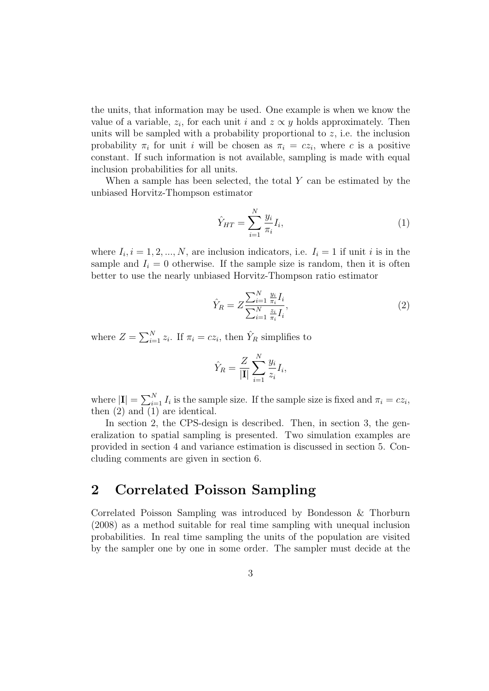the units, that information may be used. One example is when we know the value of a variable,  $z_i$ , for each unit *i* and  $z \propto y$  holds approximately. Then units will be sampled with a probability proportional to *z*, i.e. the inclusion probability  $\pi_i$  for unit *i* will be chosen as  $\pi_i = cz_i$ , where *c* is a positive constant. If such information is not available, sampling is made with equal inclusion probabilities for all units.

When a sample has been selected, the total *Y* can be estimated by the unbiased Horvitz-Thompson estimator

$$
\hat{Y}_{HT} = \sum_{i=1}^{N} \frac{y_i}{\pi_i} I_i,
$$
\n(1)

where  $I_i$ ,  $i = 1, 2, ..., N$ , are inclusion indicators, i.e.  $I_i = 1$  if unit *i* is in the sample and  $I_i = 0$  otherwise. If the sample size is random, then it is often better to use the nearly unbiased Horvitz-Thompson ratio estimator

$$
\hat{Y}_R = Z \frac{\sum_{i=1}^N \frac{y_i}{\pi_i} I_i}{\sum_{i=1}^N \frac{z_i}{\pi_i} I_i},\tag{2}
$$

where  $Z = \sum_{i=1}^{N} z_i$ . If  $\pi_i = cz_i$ , then  $\hat{Y}_R$  simplifies to

$$
\hat{Y}_R = \frac{Z}{|\mathbf{I}|} \sum_{i=1}^N \frac{y_i}{z_i} I_i,
$$

where  $|\mathbf{I}| = \sum_{i=1}^{N} I_i$  is the sample size. If the sample size is fixed and  $\pi_i = cz_i$ , then (2) and (1) are identical.

In section 2, the CPS-design is described. Then, in section 3, the generalization to spatial sampling is presented. Two simulation examples are provided in section 4 and variance estimation is discussed in section 5. Concluding comments are given in section 6.

### **2 Correlated Poisson Sampling**

Correlated Poisson Sampling was introduced by Bondesson & Thorburn (2008) as a method suitable for real time sampling with unequal inclusion probabilities. In real time sampling the units of the population are visited by the sampler one by one in some order. The sampler must decide at the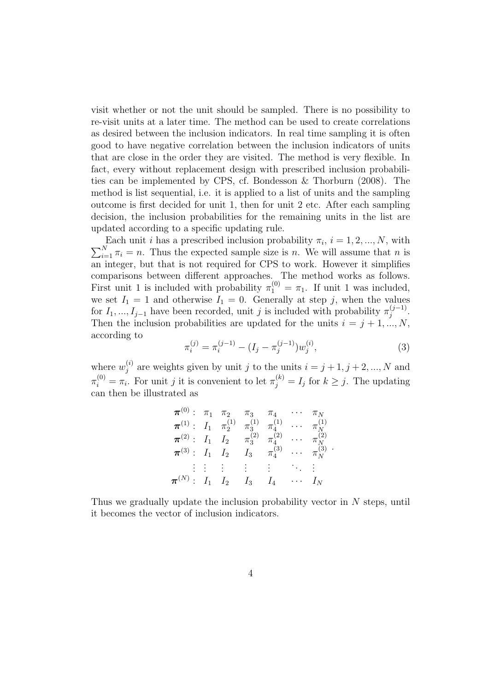visit whether or not the unit should be sampled. There is no possibility to re-visit units at a later time. The method can be used to create correlations as desired between the inclusion indicators. In real time sampling it is often good to have negative correlation between the inclusion indicators of units that are close in the order they are visited. The method is very flexible. In fact, every without replacement design with prescribed inclusion probabilities can be implemented by CPS, cf. Bondesson & Thorburn (2008). The method is list sequential, i.e. it is applied to a list of units and the sampling outcome is first decided for unit 1, then for unit 2 etc. After each sampling decision, the inclusion probabilities for the remaining units in the list are updated according to a specific updating rule.

Each unit *i* has a prescribed inclusion probability  $\pi_i$ ,  $i = 1, 2, ..., N$ , with Each unit *i* has a prescribed inclusion probability  $\pi_i$ ,  $i = 1, 2, ..., N$ , with  $\sum_{i=1}^{N} \pi_i = n$ . Thus the expected sample size is *n*. We will assume that *n* is an integer, but that is not required for CPS to work. However it simplifies comparisons between different approaches. The method works as follows. First unit 1 is included with probability  $\pi_1^{(0)} = \pi_1$ . If unit 1 was included, we set  $I_1 = 1$  and otherwise  $I_1 = 0$ . Generally at step *j*, when the values for  $I_1, ..., I_{j-1}$  have been recorded, unit *j* is included with probability  $\pi_j^{(j-1)}$ . Then the inclusion probabilities are updated for the units  $i = j + 1, ..., N$ , according to

$$
\pi_i^{(j)} = \pi_i^{(j-1)} - (I_j - \pi_j^{(j-1)})w_j^{(i)},\tag{3}
$$

where  $w_i^{(i)}$  $j^{(i)}$  are weights given by unit *j* to the units  $i = j + 1, j + 2, ..., N$  and  $\pi_i^{(0)} = \pi_i$ . For unit *j* it is convenient to let  $\pi_j^{(k)} = I_j$  for  $k \geq j$ . The updating can then be illustrated as

$$
\pi^{(0)}: \begin{array}{lllllllllll} \pi_1^{(0)}: & \pi_1 & \pi_2 & \pi_3 & \pi_4 & \cdots & \pi_N \\ \pi^{(1)}: & I_1 & \pi_2^{(1)} & \pi_3^{(1)} & \pi_4^{(1)} & \cdots & \pi_N^{(1)} \\ \pi^{(2)}: & I_1 & I_2 & \pi_3^{(2)} & \pi_4^{(2)} & \cdots & \pi_N^{(2)} \\ \pi^{(3)}: & I_1 & I_2 & I_3 & \pi_4^{(3)} & \cdots & \pi_N^{(3)} \\ \vdots & \vdots & \vdots & \vdots & \vdots & \ddots & \vdots \\ \pi^{(N)}: & I_1 & I_2 & I_3 & I_4 & \cdots & I_N \end{array}
$$

Thus we gradually update the inclusion probability vector in *N* steps, until it becomes the vector of inclusion indicators.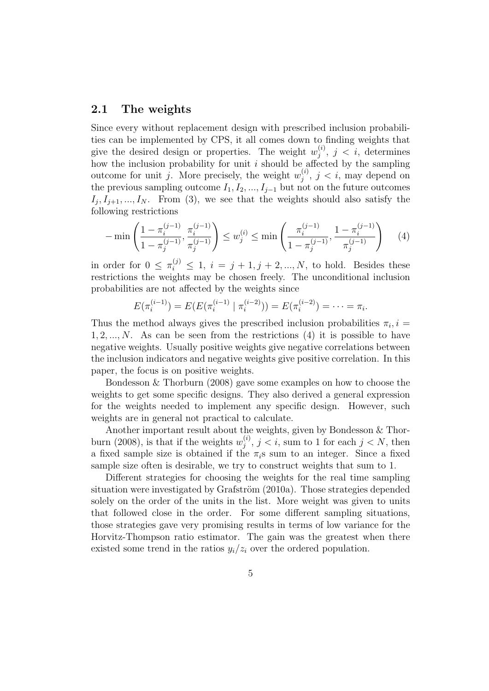#### **2.1 The weights**

Since every without replacement design with prescribed inclusion probabilities can be implemented by CPS, it all comes down to finding weights that give the desired design or properties. The weight  $w_i^{(i)}$  $j^{(i)}$ ,  $j < i$ , determines how the inclusion probability for unit *i* should be affected by the sampling outcome for unit *j*. More precisely, the weight  $w_i^{(i)}$  $j^{(i)}$ ,  $j < i$ , may depend on the previous sampling outcome  $I_1, I_2, ..., I_{j-1}$  but not on the future outcomes  $I_j$ ,  $I_{j+1}$ , ...,  $I_N$ . From (3), we see that the weights should also satisfy the following restrictions

$$
-\min\left(\frac{1-\pi_i^{(j-1)}}{1-\pi_j^{(j-1)}},\frac{\pi_i^{(j-1)}}{\pi_j^{(j-1)}}\right) \le w_j^{(i)} \le \min\left(\frac{\pi_i^{(j-1)}}{1-\pi_j^{(j-1)}},\frac{1-\pi_i^{(j-1)}}{\pi_j^{(j-1)}}\right) \tag{4}
$$

in order for  $0 \leq \pi_i^{(j)} \leq 1$ ,  $i = j + 1, j + 2, ..., N$ , to hold. Besides these restrictions the weights may be chosen freely. The unconditional inclusion probabilities are not affected by the weights since

$$
E(\pi_i^{(i-1)}) = E(E(\pi_i^{(i-1)} | \pi_i^{(i-2)})) = E(\pi_i^{(i-2)}) = \cdots = \pi_i.
$$

Thus the method always gives the prescribed inclusion probabilities  $\pi_i$ ,  $i =$ 1*,* 2*, ..., N*. As can be seen from the restrictions (4) it is possible to have negative weights. Usually positive weights give negative correlations between the inclusion indicators and negative weights give positive correlation. In this paper, the focus is on positive weights.

Bondesson & Thorburn (2008) gave some examples on how to choose the weights to get some specific designs. They also derived a general expression for the weights needed to implement any specific design. However, such weights are in general not practical to calculate.

Another important result about the weights, given by Bondesson & Thorburn (2008), is that if the weights  $w_i^{(i)}$  $j^{(i)}$ ,  $j < i$ , sum to 1 for each  $j < N$ , then a fixed sample size is obtained if the  $\pi_i$ s sum to an integer. Since a fixed sample size often is desirable, we try to construct weights that sum to 1.

Different strategies for choosing the weights for the real time sampling situation were investigated by Grafström  $(2010a)$ . Those strategies depended solely on the order of the units in the list. More weight was given to units that followed close in the order. For some different sampling situations, those strategies gave very promising results in terms of low variance for the Horvitz-Thompson ratio estimator. The gain was the greatest when there existed some trend in the ratios  $y_i/z_i$  over the ordered population.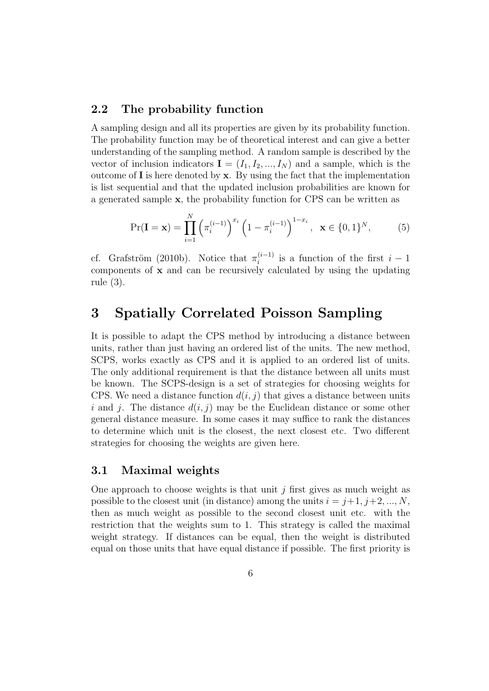### **2.2 The probability function**

*N*

A sampling design and all its properties are given by its probability function. The probability function may be of theoretical interest and can give a better understanding of the sampling method. A random sample is described by the vector of inclusion indicators  $I = (I_1, I_2, ..., I_N)$  and a sample, which is the outcome of **I** is here denoted by **x**. By using the fact that the implementation is list sequential and that the updated inclusion probabilities are known for a generated sample **x**, the probability function for CPS can be written as

$$
\Pr(\mathbf{I} = \mathbf{x}) = \prod_{i=1}^{N} \left( \pi_i^{(i-1)} \right)^{x_i} \left( 1 - \pi_i^{(i-1)} \right)^{1 - x_i}, \ \ \mathbf{x} \in \{0, 1\}^{N}, \tag{5}
$$

cf. Grafström (2010b). Notice that  $\pi_i^{(i-1)}$  is a function of the first  $i-1$ components of **x** and can be recursively calculated by using the updating rule (3).

## **3 Spatially Correlated Poisson Sampling**

It is possible to adapt the CPS method by introducing a distance between units, rather than just having an ordered list of the units. The new method, SCPS, works exactly as CPS and it is applied to an ordered list of units. The only additional requirement is that the distance between all units must be known. The SCPS-design is a set of strategies for choosing weights for CPS. We need a distance function  $d(i, j)$  that gives a distance between units *i* and *j*. The distance  $d(i, j)$  may be the Euclidean distance or some other general distance measure. In some cases it may suffice to rank the distances to determine which unit is the closest, the next closest etc. Two different strategies for choosing the weights are given here.

### **3.1 Maximal weights**

One approach to choose weights is that unit  $j$  first gives as much weight as possible to the closest unit (in distance) among the units  $i = j+1, j+2, ..., N$ , then as much weight as possible to the second closest unit etc. with the restriction that the weights sum to 1. This strategy is called the maximal weight strategy. If distances can be equal, then the weight is distributed equal on those units that have equal distance if possible. The first priority is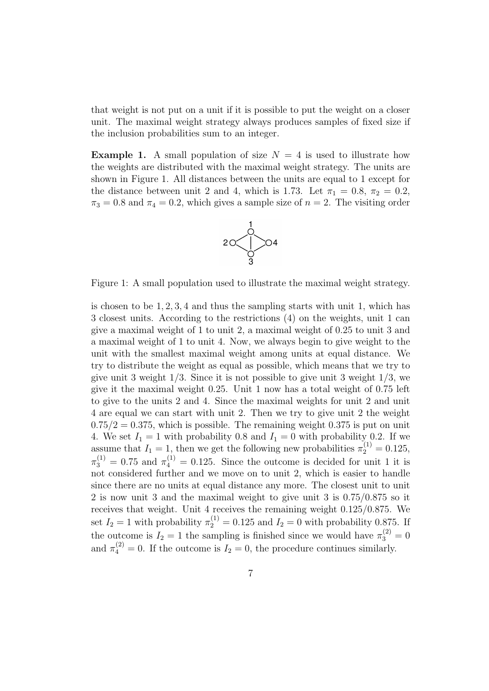that weight is not put on a unit if it is possible to put the weight on a closer unit. The maximal weight strategy always produces samples of fixed size if the inclusion probabilities sum to an integer.

**Example 1.** A small population of size  $N = 4$  is used to illustrate how the weights are distributed with the maximal weight strategy. The units are shown in Figure 1. All distances between the units are equal to 1 except for the distance between unit 2 and 4, which is 1.73. Let  $\pi_1 = 0.8$ ,  $\pi_2 = 0.2$ ,  $\pi_3 = 0.8$  and  $\pi_4 = 0.2$ , which gives a sample size of  $n = 2$ . The visiting order



Figure 1: A small population used to illustrate the maximal weight strategy.

is chosen to be 1*,* 2*,* 3*,* 4 and thus the sampling starts with unit 1, which has 3 closest units. According to the restrictions (4) on the weights, unit 1 can give a maximal weight of 1 to unit 2, a maximal weight of 0.25 to unit 3 and a maximal weight of 1 to unit 4. Now, we always begin to give weight to the unit with the smallest maximal weight among units at equal distance. We try to distribute the weight as equal as possible, which means that we try to give unit 3 weight 1*/*3. Since it is not possible to give unit 3 weight 1*/*3, we give it the maximal weight 0.25. Unit 1 now has a total weight of 0.75 left to give to the units 2 and 4. Since the maximal weights for unit 2 and unit 4 are equal we can start with unit 2. Then we try to give unit 2 the weight  $0.75/2 = 0.375$ , which is possible. The remaining weight  $0.375$  is put on unit 4. We set  $I_1 = 1$  with probability 0.8 and  $I_1 = 0$  with probability 0.2. If we assume that  $I_1 = 1$ , then we get the following new probabilities  $\pi_2^{(1)} = 0.125$ ,  $\pi_3^{(1)} = 0.75$  and  $\pi_4^{(1)} = 0.125$ . Since the outcome is decided for unit 1 it is not considered further and we move on to unit 2, which is easier to handle since there are no units at equal distance any more. The closest unit to unit 2 is now unit 3 and the maximal weight to give unit 3 is 0*.*75*/*0*.*875 so it receives that weight. Unit 4 receives the remaining weight 0*.*125*/*0*.*875. We set  $I_2 = 1$  with probability  $\pi_2^{(1)} = 0.125$  and  $I_2 = 0$  with probability 0.875. If the outcome is  $I_2 = 1$  the sampling is finished since we would have  $\pi_3^{(2)} = 0$ and  $\pi_4^{(2)} = 0$ . If the outcome is  $I_2 = 0$ , the procedure continues similarly.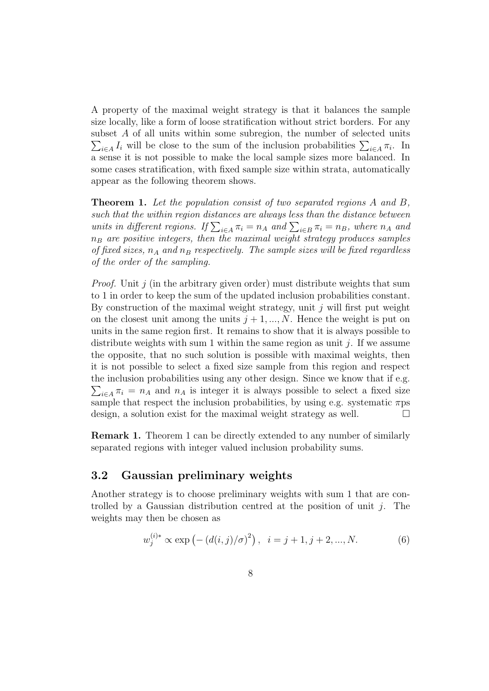A property of the maximal weight strategy is that it balances the sample size locally, like a form of loose stratification without strict borders. For any subset A of all units within some subregion, the number of selected units  $\sum_{i \in A} I_i$  will be close to the sum of the inclusion probabilities  $\sum_{i \in A} \pi_i$ . In a sense it is not possible to make the local sample sizes more balanced. In some cases stratification, with fixed sample size within strata, automatically appear as the following theorem shows.

**Theorem 1.** *Let the population consist of two separated regions A and B, such that the within region distances are always less than the distance between units in different regions. If*  $\sum_{i \in A} \pi_i = n_A$  *and*  $\sum_{i \in B} \pi_i = n_B$ *, where*  $n_A$  *and n<sup>B</sup> are positive integers, then the maximal weight strategy produces samples of fixed sizes, n<sup>A</sup> and n<sup>B</sup> respectively. The sample sizes will be fixed regardless of the order of the sampling.*

*Proof.* Unit *j* (in the arbitrary given order) must distribute weights that sum to 1 in order to keep the sum of the updated inclusion probabilities constant. By construction of the maximal weight strategy, unit *j* will first put weight on the closest unit among the units  $j + 1, ..., N$ . Hence the weight is put on units in the same region first. It remains to show that it is always possible to distribute weights with sum 1 within the same region as unit *j*. If we assume the opposite, that no such solution is possible with maximal weights, then it is not possible to select a fixed size sample from this region and respect the inclusion probabilities using any other design. Since we know that if e.g.  $\sum_{i \in A} \pi_i = n_A$  and  $n_A$  is integer it is always possible to select a fixed size sample that respect the inclusion probabilities, by using e.g. systematic *π*ps design, a solution exist for the maximal weight strategy as well.  $\Box$ 

**Remark 1.** Theorem 1 can be directly extended to any number of similarly separated regions with integer valued inclusion probability sums.

### **3.2 Gaussian preliminary weights**

Another strategy is to choose preliminary weights with sum 1 that are controlled by a Gaussian distribution centred at the position of unit *j*. The weights may then be chosen as

$$
w_j^{(i)*} \propto \exp\left(-\left(d(i,j)/\sigma\right)^2\right), \quad i = j+1, j+2, ..., N. \tag{6}
$$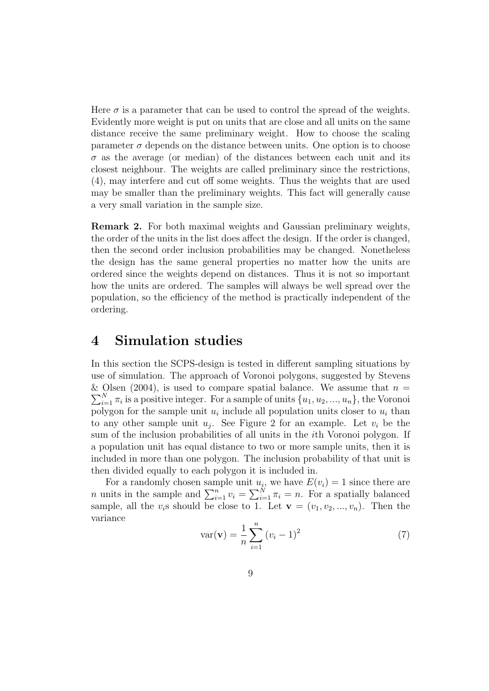Here  $\sigma$  is a parameter that can be used to control the spread of the weights. Evidently more weight is put on units that are close and all units on the same distance receive the same preliminary weight. How to choose the scaling parameter  $\sigma$  depends on the distance between units. One option is to choose  $\sigma$  as the average (or median) of the distances between each unit and its closest neighbour. The weights are called preliminary since the restrictions, (4), may interfere and cut off some weights. Thus the weights that are used may be smaller than the preliminary weights. This fact will generally cause a very small variation in the sample size.

**Remark 2.** For both maximal weights and Gaussian preliminary weights, the order of the units in the list does affect the design. If the order is changed, then the second order inclusion probabilities may be changed. Nonetheless the design has the same general properties no matter how the units are ordered since the weights depend on distances. Thus it is not so important how the units are ordered. The samples will always be well spread over the population, so the efficiency of the method is practically independent of the ordering.

## **4 Simulation studies**

In this section the SCPS-design is tested in different sampling situations by use of simulation. The approach of Voronoi polygons, suggested by Stevens & Olsen (2004), is used to compare spatial balance. We assume that  $n =$  $\sum_{i=1}^{N} \pi_i$  is a positive integer. For a sample of units  $\{u_1, u_2, ..., u_n\}$ , the Voronoi polygon for the sample unit  $u_i$  include all population units closer to  $u_i$  than to any other sample unit  $u_j$ . See Figure 2 for an example. Let  $v_i$  be the sum of the inclusion probabilities of all units in the *i*th Voronoi polygon. If a population unit has equal distance to two or more sample units, then it is included in more than one polygon. The inclusion probability of that unit is then divided equally to each polygon it is included in.

For a randomly chosen sample unit  $u_i$ , we have  $E(v_i) = 1$  since there are *n* units in the sample and  $\sum_{i=1}^{n} v_i = \sum_{i=1}^{N} \pi_i = n$ . For a spatially balanced sample, all the  $v_i$ s should be close to 1. Let  $\mathbf{v} = (v_1, v_2, ..., v_n)$ . Then the variance

$$
var(\mathbf{v}) = \frac{1}{n} \sum_{i=1}^{n} (v_i - 1)^2
$$
 (7)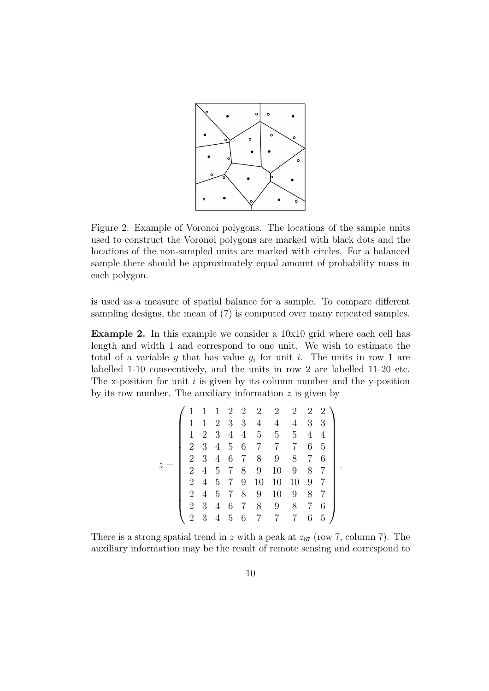

Figure 2: Example of Voronoi polygons. The locations of the sample units used to construct the Voronoi polygons are marked with black dots and the locations of the non-sampled units are marked with circles. For a balanced sample there should be approximately equal amount of probability mass in each polygon.

is used as a measure of spatial balance for a sample. To compare different sampling designs, the mean of (7) is computed over many repeated samples.

**Example 2.** In this example we consider a 10x10 grid where each cell has length and width 1 and correspond to one unit. We wish to estimate the total of a variable *y* that has value  $y_i$  for unit *i*. The units in row 1 are labelled 1-10 consecutively, and the units in row 2 are labelled 11-20 etc. The x-position for unit *i* is given by its column number and the y-position by its row number. The auxiliary information *z* is given by

$$
z = \left(\begin{array}{ccccccc} 1 & 1 & 1 & 2 & 2 & 2 & 2 & 2 & 2 & 2 \\ 1 & 1 & 2 & 3 & 3 & 4 & 4 & 4 & 3 & 3 \\ 1 & 2 & 3 & 4 & 4 & 5 & 5 & 5 & 4 & 4 \\ 2 & 3 & 4 & 5 & 6 & 7 & 7 & 7 & 6 & 5 \\ 2 & 3 & 4 & 6 & 7 & 8 & 9 & 8 & 7 & 6 \\ 2 & 4 & 5 & 7 & 8 & 9 & 10 & 9 & 8 & 7 \\ 2 & 4 & 5 & 7 & 9 & 10 & 10 & 10 & 9 & 7 \\ 2 & 4 & 5 & 7 & 8 & 9 & 10 & 9 & 8 & 7 \\ 2 & 3 & 4 & 6 & 7 & 8 & 9 & 8 & 7 & 6 \\ 2 & 3 & 4 & 5 & 6 & 7 & 7 & 7 & 6 & 5 \end{array}\right)
$$

*.*

There is a strong spatial trend in  $z$  with a peak at  $z_{67}$  (row 7, column 7). The auxiliary information may be the result of remote sensing and correspond to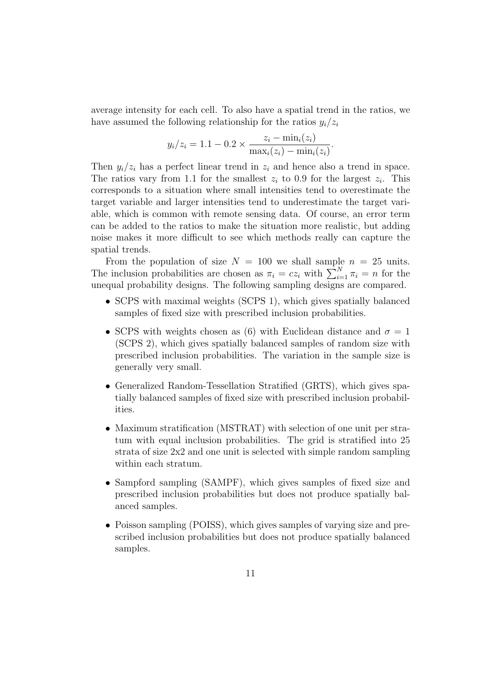average intensity for each cell. To also have a spatial trend in the ratios, we have assumed the following relationship for the ratios  $y_i/z_i$ 

$$
y_i/z_i = 1.1 - 0.2 \times \frac{z_i - \min_i(z_i)}{\max_i(z_i) - \min_i(z_i)}
$$
.

Then  $y_i/z_i$  has a perfect linear trend in  $z_i$  and hence also a trend in space. The ratios vary from 1.1 for the smallest  $z_i$  to 0.9 for the largest  $z_i$ . This corresponds to a situation where small intensities tend to overestimate the target variable and larger intensities tend to underestimate the target variable, which is common with remote sensing data. Of course, an error term can be added to the ratios to make the situation more realistic, but adding noise makes it more difficult to see which methods really can capture the spatial trends.

From the population of size  $N = 100$  we shall sample  $n = 25$  units. The inclusion probabilities are chosen as  $\pi_i = cz_i$  with  $\sum_{i=1}^{N} \pi_i = n$  for the unequal probability designs. The following sampling designs are compared.

- *•* SCPS with maximal weights (SCPS 1), which gives spatially balanced samples of fixed size with prescribed inclusion probabilities.
- SCPS with weights chosen as (6) with Euclidean distance and  $\sigma = 1$ (SCPS 2), which gives spatially balanced samples of random size with prescribed inclusion probabilities. The variation in the sample size is generally very small.
- Generalized Random-Tessellation Stratified (GRTS), which gives spatially balanced samples of fixed size with prescribed inclusion probabilities.
- *•* Maximum stratification (MSTRAT) with selection of one unit per stratum with equal inclusion probabilities. The grid is stratified into 25 strata of size 2x2 and one unit is selected with simple random sampling within each stratum.
- Sampford sampling (SAMPF), which gives samples of fixed size and prescribed inclusion probabilities but does not produce spatially balanced samples.
- *•* Poisson sampling (POISS), which gives samples of varying size and prescribed inclusion probabilities but does not produce spatially balanced samples.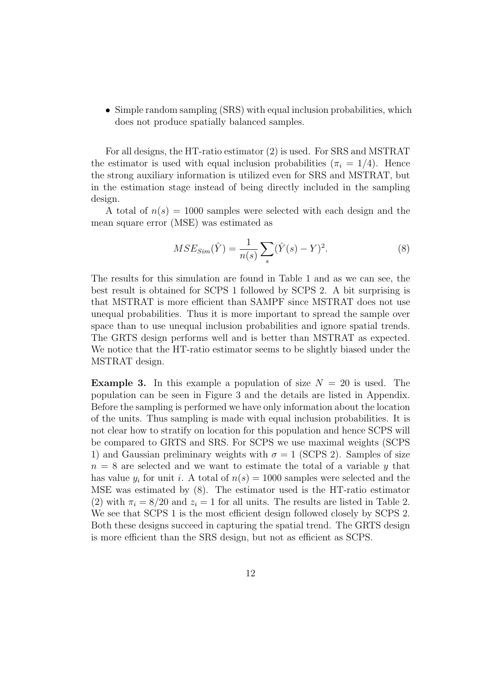• Simple random sampling (SRS) with equal inclusion probabilities, which does not produce spatially balanced samples.

For all designs, the HT-ratio estimator (2) is used. For SRS and MSTRAT the estimator is used with equal inclusion probabilities  $(\pi_i = 1/4)$ . Hence the strong auxiliary information is utilized even for SRS and MSTRAT, but in the estimation stage instead of being directly included in the sampling design.

A total of  $n(s) = 1000$  samples were selected with each design and the mean square error (MSE) was estimated as

$$
MSE_{Sim}(\hat{Y}) = \frac{1}{n(s)} \sum_{s} (\hat{Y}(s) - Y)^2.
$$
 (8)

The results for this simulation are found in Table 1 and as we can see, the best result is obtained for SCPS 1 followed by SCPS 2. A bit surprising is that MSTRAT is more efficient than SAMPF since MSTRAT does not use unequal probabilities. Thus it is more important to spread the sample over space than to use unequal inclusion probabilities and ignore spatial trends. The GRTS design performs well and is better than MSTRAT as expected. We notice that the HT-ratio estimator seems to be slightly biased under the MSTRAT design.

**Example 3.** In this example a population of size  $N = 20$  is used. The population can be seen in Figure 3 and the details are listed in Appendix. Before the sampling is performed we have only information about the location of the units. Thus sampling is made with equal inclusion probabilities. It is not clear how to stratify on location for this population and hence SCPS will be compared to GRTS and SRS. For SCPS we use maximal weights (SCPS 1) and Gaussian preliminary weights with  $\sigma = 1$  (SCPS 2). Samples of size *n* = 8 are selected and we want to estimate the total of a variable *y* that has value  $y_i$  for unit *i*. A total of  $n(s) = 1000$  samples were selected and the MSE was estimated by (8). The estimator used is the HT-ratio estimator (2) with  $\pi_i = 8/20$  and  $z_i = 1$  for all units. The results are listed in Table 2. We see that SCPS 1 is the most efficient design followed closely by SCPS 2. Both these designs succeed in capturing the spatial trend. The GRTS design is more efficient than the SRS design, but not as efficient as SCPS.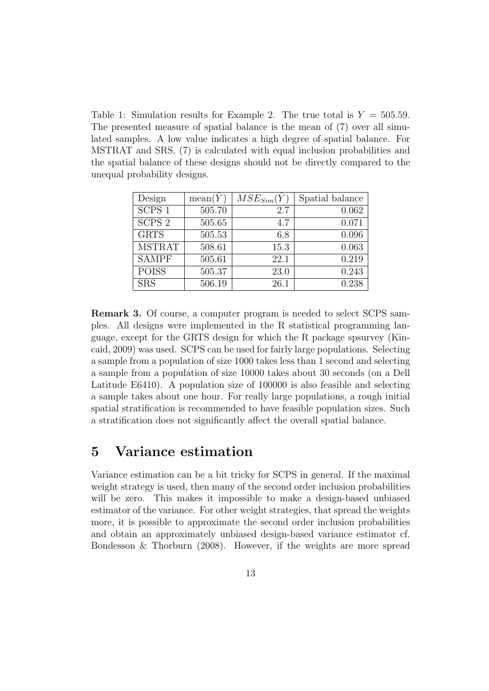Table 1: Simulation results for Example 2. The true total is  $Y = 505.59$ . The presented measure of spatial balance is the mean of (7) over all simulated samples. A low value indicates a high degree of spatial balance. For MSTRAT and SRS, (7) is calculated with equal inclusion probabilities and the spatial balance of these designs should not be directly compared to the unequal probability designs.

| Design            | mean(Y) | $MSE_{Sim}(Y)$ | Spatial balance |
|-------------------|---------|----------------|-----------------|
| SCPS1             | 505.70  | 2.7            | 0.062           |
| SCPS <sub>2</sub> | 505.65  | 4.7            | 0.071           |
| <b>GRTS</b>       | 505.53  | 6.8            | 0.096           |
| <b>MSTRAT</b>     | 508.61  | 15.3           | 0.063           |
| <b>SAMPF</b>      | 505.61  | 22.1           | 0.219           |
| <b>POISS</b>      | 505.37  | 23.0           | 0.243           |
| <b>SRS</b>        | 506.19  | 26.1           | 0.238           |

**Remark 3.** Of course, a computer program is needed to select SCPS samples. All designs were implemented in the R statistical programming language, except for the GRTS design for which the R package spsurvey (Kincaid, 2009) was used. SCPS can be used for fairly large populations. Selecting a sample from a population of size 1000 takes less than 1 second and selecting a sample from a population of size 10000 takes about 30 seconds (on a Dell Latitude E6410). A population size of 100000 is also feasible and selecting a sample takes about one hour. For really large populations, a rough initial spatial stratification is recommended to have feasible population sizes. Such a stratification does not significantly affect the overall spatial balance.

# **5 Variance estimation**

Variance estimation can be a bit tricky for SCPS in general. If the maximal weight strategy is used, then many of the second order inclusion probabilities will be zero. This makes it impossible to make a design-based unbiased estimator of the variance. For other weight strategies, that spread the weights more, it is possible to approximate the second order inclusion probabilities and obtain an approximately unbiased design-based variance estimator cf. Bondesson & Thorburn (2008). However, if the weights are more spread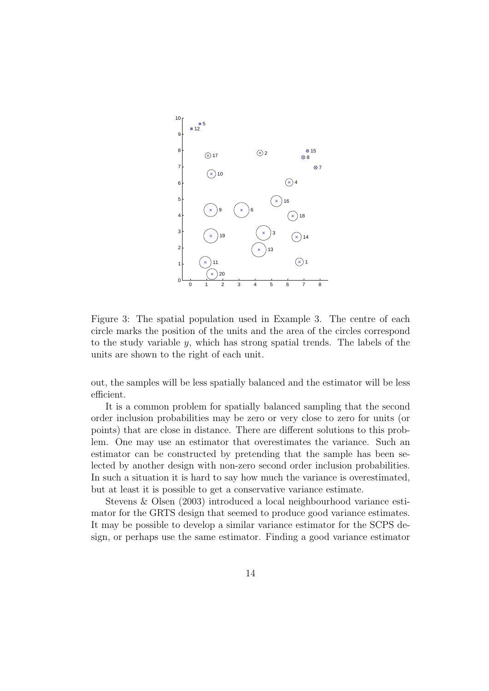

Figure 3: The spatial population used in Example 3. The centre of each circle marks the position of the units and the area of the circles correspond to the study variable *y*, which has strong spatial trends. The labels of the units are shown to the right of each unit.

out, the samples will be less spatially balanced and the estimator will be less efficient.

It is a common problem for spatially balanced sampling that the second order inclusion probabilities may be zero or very close to zero for units (or points) that are close in distance. There are different solutions to this problem. One may use an estimator that overestimates the variance. Such an estimator can be constructed by pretending that the sample has been selected by another design with non-zero second order inclusion probabilities. In such a situation it is hard to say how much the variance is overestimated, but at least it is possible to get a conservative variance estimate.

Stevens & Olsen (2003) introduced a local neighbourhood variance estimator for the GRTS design that seemed to produce good variance estimates. It may be possible to develop a similar variance estimator for the SCPS design, or perhaps use the same estimator. Finding a good variance estimator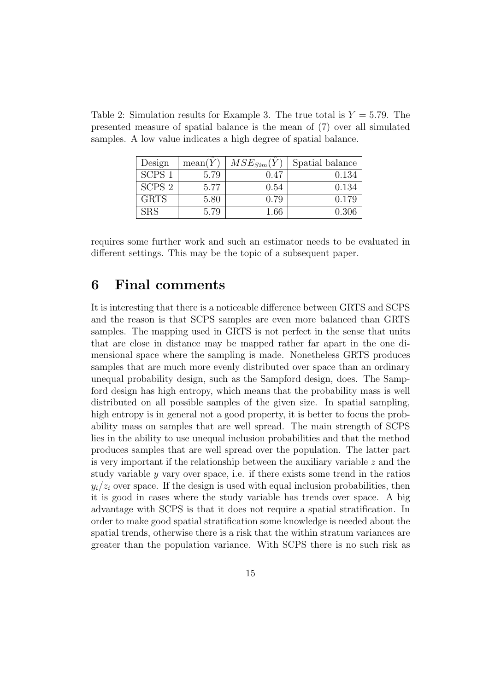| Design            | mean(Y) | $MSE_{Sim}(Y$ | Spatial balance |
|-------------------|---------|---------------|-----------------|
| SCPS <sub>1</sub> | 5.79    | 0.47          | 0.134           |
| SCPS <sub>2</sub> | 5.77    | 0.54          | 0.134           |
| <b>GRTS</b>       | 5.80    | 0.79          | 0.179           |
| ${\rm SRS}$       | 5.79    | 1.66          | 0.306           |

Table 2: Simulation results for Example 3. The true total is  $Y = 5.79$ . The presented measure of spatial balance is the mean of (7) over all simulated samples. A low value indicates a high degree of spatial balance.

requires some further work and such an estimator needs to be evaluated in different settings. This may be the topic of a subsequent paper.

### **6 Final comments**

It is interesting that there is a noticeable difference between GRTS and SCPS and the reason is that SCPS samples are even more balanced than GRTS samples. The mapping used in GRTS is not perfect in the sense that units that are close in distance may be mapped rather far apart in the one dimensional space where the sampling is made. Nonetheless GRTS produces samples that are much more evenly distributed over space than an ordinary unequal probability design, such as the Sampford design, does. The Sampford design has high entropy, which means that the probability mass is well distributed on all possible samples of the given size. In spatial sampling, high entropy is in general not a good property, it is better to focus the probability mass on samples that are well spread. The main strength of SCPS lies in the ability to use unequal inclusion probabilities and that the method produces samples that are well spread over the population. The latter part is very important if the relationship between the auxiliary variable *z* and the study variable *y* vary over space, i.e. if there exists some trend in the ratios  $y_i/z_i$  over space. If the design is used with equal inclusion probabilities, then it is good in cases where the study variable has trends over space. A big advantage with SCPS is that it does not require a spatial stratification. In order to make good spatial stratification some knowledge is needed about the spatial trends, otherwise there is a risk that the within stratum variances are greater than the population variance. With SCPS there is no such risk as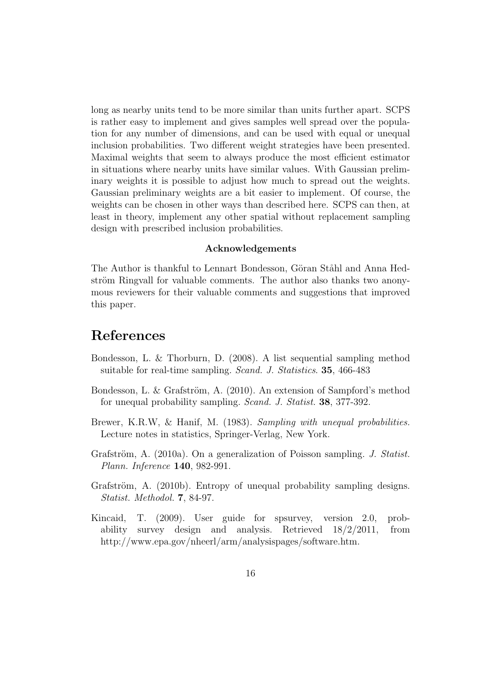long as nearby units tend to be more similar than units further apart. SCPS is rather easy to implement and gives samples well spread over the population for any number of dimensions, and can be used with equal or unequal inclusion probabilities. Two different weight strategies have been presented. Maximal weights that seem to always produce the most efficient estimator in situations where nearby units have similar values. With Gaussian preliminary weights it is possible to adjust how much to spread out the weights. Gaussian preliminary weights are a bit easier to implement. Of course, the weights can be chosen in other ways than described here. SCPS can then, at least in theory, implement any other spatial without replacement sampling design with prescribed inclusion probabilities.

#### **Acknowledgements**

The Author is thankful to Lennart Bondesson, Göran Ståhl and Anna Hedström Ringvall for valuable comments. The author also thanks two anonymous reviewers for their valuable comments and suggestions that improved this paper.

### **References**

- Bondesson, L. & Thorburn, D. (2008). A list sequential sampling method suitable for real-time sampling. *Scand. J. Statistics*. **35**, 466-483
- Bondesson, L. & Grafström, A. (2010). An extension of Sampford's method for unequal probability sampling. *Scand. J. Statist.* **38**, 377-392.
- Brewer, K.R.W, & Hanif, M. (1983). *Sampling with unequal probabilities.* Lecture notes in statistics, Springer-Verlag, New York.
- Grafström, A. (2010a). On a generalization of Poisson sampling. *J. Statist. Plann. Inference* **140**, 982-991.
- Grafström, A. (2010b). Entropy of unequal probability sampling designs. *Statist. Methodol.* **7**, 84-97.
- Kincaid, T. (2009). User guide for spsurvey, version 2.0, probability survey design and analysis. Retrieved 18/2/2011, from http://www.epa.gov/nheerl/arm/analysispages/software.htm.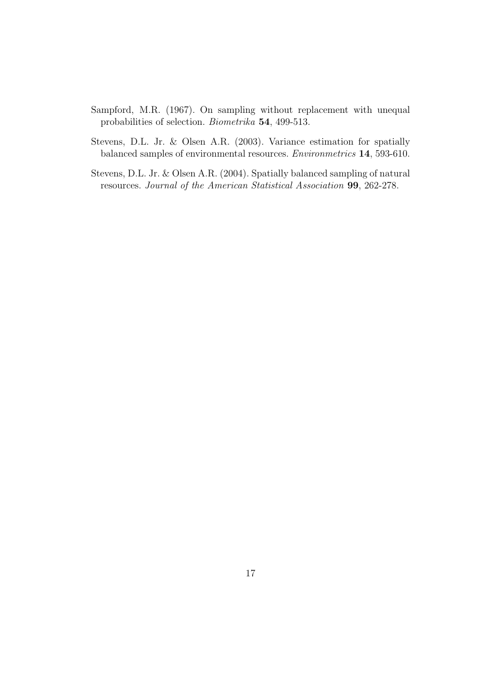- Sampford, M.R. (1967). On sampling without replacement with unequal probabilities of selection. *Biometrika* **54**, 499-513.
- Stevens, D.L. Jr. & Olsen A.R. (2003). Variance estimation for spatially balanced samples of environmental resources. *Environmetrics* **14**, 593-610.
- Stevens, D.L. Jr. & Olsen A.R. (2004). Spatially balanced sampling of natural resources. *Journal of the American Statistical Association* **99**, 262-278.